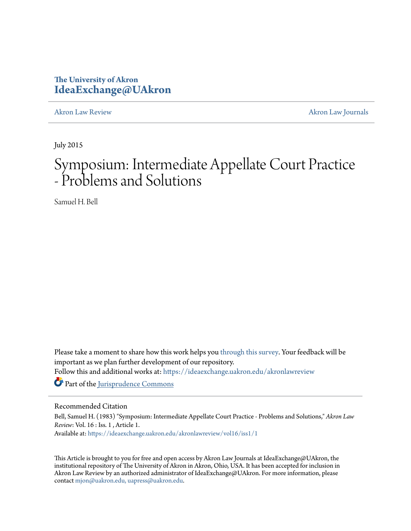## **The University of Akron [IdeaExchange@UAkron](https://ideaexchange.uakron.edu?utm_source=ideaexchange.uakron.edu%2Fakronlawreview%2Fvol16%2Fiss1%2F1&utm_medium=PDF&utm_campaign=PDFCoverPages)**

[Akron Law Review](https://ideaexchange.uakron.edu/akronlawreview?utm_source=ideaexchange.uakron.edu%2Fakronlawreview%2Fvol16%2Fiss1%2F1&utm_medium=PDF&utm_campaign=PDFCoverPages) [Akron Law Journals](https://ideaexchange.uakron.edu/akronlawjournals?utm_source=ideaexchange.uakron.edu%2Fakronlawreview%2Fvol16%2Fiss1%2F1&utm_medium=PDF&utm_campaign=PDFCoverPages)

July 2015

# Symposium: Intermediate Appellate Court Practice - Problems and Solutions

Samuel H. Bell

Please take a moment to share how this work helps you [through this survey.](http://survey.az1.qualtrics.com/SE/?SID=SV_eEVH54oiCbOw05f&URL=https://ideaexchange.uakron.edu/akronlawreview/vol16/iss1/1) Your feedback will be important as we plan further development of our repository.

Follow this and additional works at: [https://ideaexchange.uakron.edu/akronlawreview](https://ideaexchange.uakron.edu/akronlawreview?utm_source=ideaexchange.uakron.edu%2Fakronlawreview%2Fvol16%2Fiss1%2F1&utm_medium=PDF&utm_campaign=PDFCoverPages)

Part of the [Jurisprudence Commons](http://network.bepress.com/hgg/discipline/610?utm_source=ideaexchange.uakron.edu%2Fakronlawreview%2Fvol16%2Fiss1%2F1&utm_medium=PDF&utm_campaign=PDFCoverPages)

### Recommended Citation

Bell, Samuel H. (1983) "Symposium: Intermediate Appellate Court Practice - Problems and Solutions," *Akron Law Review*: Vol. 16 : Iss. 1 , Article 1.

Available at: [https://ideaexchange.uakron.edu/akronlawreview/vol16/iss1/1](https://ideaexchange.uakron.edu/akronlawreview/vol16/iss1/1?utm_source=ideaexchange.uakron.edu%2Fakronlawreview%2Fvol16%2Fiss1%2F1&utm_medium=PDF&utm_campaign=PDFCoverPages)

This Article is brought to you for free and open access by Akron Law Journals at IdeaExchange@UAkron, the institutional repository of The University of Akron in Akron, Ohio, USA. It has been accepted for inclusion in Akron Law Review by an authorized administrator of IdeaExchange@UAkron. For more information, please contact [mjon@uakron.edu, uapress@uakron.edu.](mailto:mjon@uakron.edu,%20uapress@uakron.edu)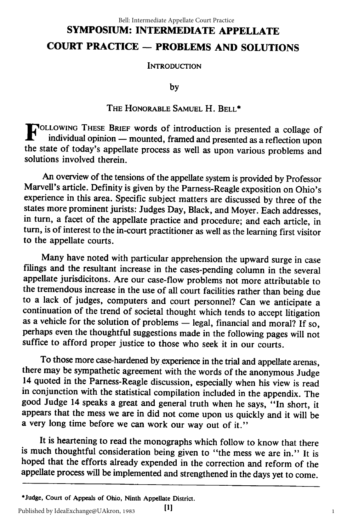## **SYMPOSIUM: INTERMEDIATE APPELLATE COURT PRACTICE** - **PROBLEMS AND SOLUTIONS** Bell: Intermediate Appellate Court Practice

**INTRODUCTION** 

**by**

#### THE HONORABLE SAMUEL H. BELL\*

**F** OLLOWING THESE BRIEF words of introduction is presented a collage of **individual opinion** - mounted, framed and presented as a reflection upon the state of today's appellate process as well as upon various problems and solutions involved therein.

An overview of the tensions of the appellate system is provided by Professor Marvell's article. Definity is given by the Parness-Reagle exposition on Ohio's experience in this area. Specific subject matters are discussed by three of the states more prominent jurists: Judges Day, Black, and Moyer. Each addresses, in turn, a facet of the appellate practice and procedure; and each article, in turn, is of interest to the in-court practitioner as well as the learning first visitor to the appellate courts.

Many have noted with particular apprehension the upward surge in case filings and the resultant increase in the cases-pending column in the several appellate jurisdicitons. Are our case-flow problems not more attributable to the tremendous increase in the use of all court facilities rather than being due to a lack of judges, computers and court personnel? Can we anticipate a continuation of the trend of societal thought which tends to accept litigation as a vehicle for the solution of problems **-** legal, financial and moral? If so, perhaps even the thoughtful suggestions made in the following pages will not suffice to afford proper justice to those who seek it in our courts.

To those more case-hardened by experience in the trial and appellate arenas, there may be sympathetic agreement with the words of the anonymous Judge 14 quoted in the Parness-Reagle discussion, especially when his view is in conjunction with the statistical compilation included in the appendix. The good Judge 14 speaks a great and general truth when he says, "In short, it appears that the mess we are in did not come upon us quickly and it will be a very long time before we can work our way out of it."

It is heartening to read the monographs which follow to know that there is much thoughtful consideration being given to "the mess we are in." It is hoped that the efforts already expended in the correction and reform of the appellate process will be implemented and strengthened in the days yet to come.

**<sup>\*</sup>Judge, Court of** Appeals **of** Ohio, Ninth Appellate District.